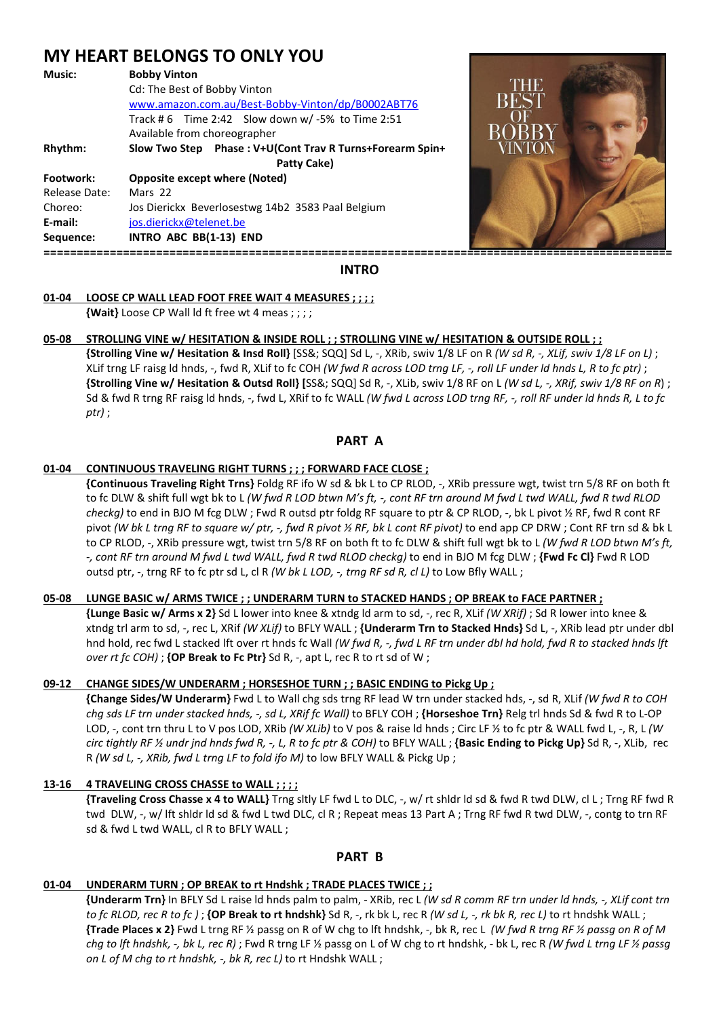# **MY HEART BELONGS TO ONLY YOU**

| <b>Bobby Vinton</b>                                      |
|----------------------------------------------------------|
| Cd: The Best of Bobby Vinton                             |
| www.amazon.com.au/Best-Bobby-Vinton/dp/B0002ABT76        |
| Track #6 Time 2:42 Slow down w/-5% to Time 2:51          |
| Available from choreographer                             |
| Slow Two Step Phase: V+U(Cont Trav R Turns+Forearm Spin+ |
| Patty Cake)                                              |
| <b>Opposite except where (Noted)</b>                     |
| Mars 22                                                  |
| Jos Dierickx Beverlosestwg 14b2 3583 Paal Belgium        |
| jos.dierickx@telenet.be                                  |
| INTRO ABC BB(1-13) END                                   |
|                                                          |



**INTRO** 

## **01-04 LOOSE CP WALL LEAD FOOT FREE WAIT 4 MEASURES ; ; ; ;**

 **{Wait}** Loose CP Wall ld ft free wt 4 meas ; ; ; ;

# **05-08 STROLLING VINE w/ HESITATION & INSIDE ROLL ; ; STROLLING VINE w/ HESITATION & OUTSIDE ROLL ; ;**

 **{Strolling Vine w/ Hesitation & Insd Roll}** [SS&; SQQ] Sd L, -, XRib, swiv 1/8 LF on R *(W sd R, -, XLif, swiv 1/8 LF on L)* ; XLif trng LF raisg ld hnds, -, fwd R, XLif to fc COH *(W fwd R across LOD trng LF, -, roll LF under ld hnds L, R to fc ptr)* ; **{Strolling Vine w/ Hesitation & Outsd Roll} [**SS&; SQQ] Sd R, -, XLib, swiv 1/8 RF on L *(W sd L, -, XRif, swiv 1/8 RF on R*) ; Sd & fwd R trng RF raisg ld hnds, -, fwd L, XRif to fc WALL *(W fwd L across LOD trng RF, -, roll RF under ld hnds R, L to fc ptr)* ;

# **PART A**

# **01-04 CONTINUOUS TRAVELING RIGHT TURNS ; ; ; FORWARD FACE CLOSE ;**

 **{Continuous Traveling Right Trns}** Foldg RF ifo W sd & bk L to CP RLOD, -, XRib pressure wgt, twist trn 5/8 RF on both ft to fc DLW & shift full wgt bk to L *(W fwd R LOD btwn M's ft, -, cont RF trn around M fwd L twd WALL, fwd R twd RLOD checkg)* to end in BJO M fcg DLW ; Fwd R outsd ptr foldg RF square to ptr & CP RLOD, -, bk L pivot ½ RF, fwd R cont RF pivot *(W bk L trng RF to square w/ ptr, -, fwd R pivot ½ RF, bk L cont RF pivot)* to end app CP DRW ; Cont RF trn sd & bk L to CP RLOD, -, XRib pressure wgt, twist trn 5/8 RF on both ft to fc DLW & shift full wgt bk to L *(W fwd R LOD btwn M's ft, -, cont RF trn around M fwd L twd WALL, fwd R twd RLOD checkg)* to end in BJO M fcg DLW ; **{Fwd Fc Cl}** Fwd R LOD outsd ptr, -, trng RF to fc ptr sd L, cl R *(W bk L LOD, -, trng RF sd R, cl L)* to Low Bfly WALL ;

## **05-08 LUNGE BASIC w/ ARMS TWICE ; ; UNDERARM TURN to STACKED HANDS ; OP BREAK to FACE PARTNER ;**

 **{Lunge Basic w/ Arms x 2}** Sd L lower into knee & xtndg ld arm to sd, -, rec R, XLif *(W XRif)* ; Sd R lower into knee & xtndg trl arm to sd, -, rec L, XRif *(W XLif)* to BFLY WALL ; **{Underarm Trn to Stacked Hnds}** Sd L, -, XRib lead ptr under dbl hnd hold, rec fwd L stacked lft over rt hnds fc Wall *(W fwd R, -, fwd L RF trn under dbl hd hold, fwd R to stacked hnds lft over rt fc COH)* ; **{OP Break to Fc Ptr}** Sd R, -, apt L, rec R to rt sd of W ;

## **09-12 CHANGE SIDES/W UNDERARM ; HORSESHOE TURN ; ; BASIC ENDING to Pickg Up ;**

 **{Change Sides/W Underarm}** Fwd L to Wall chg sds trng RF lead W trn under stacked hds, -, sd R, XLif *(W fwd R to COH chg sds LF trn under stacked hnds, -, sd L, XRif fc Wall)* to BFLY COH ; **{Horseshoe Trn}** Relg trl hnds Sd & fwd R to L-OP LOD, -, cont trn thru L to V pos LOD, XRib *(W XLib)* to V pos & raise ld hnds ; Circ LF ½ to fc ptr & WALL fwd L, -, R, L *(W circ tightly RF ½ undr jnd hnds fwd R, -, L, R to fc ptr & COH)* to BFLY WALL ; **{Basic Ending to Pickg Up}** Sd R, -, XLib, rec R *(W sd L, -, XRib, fwd L trng LF to fold ifo M)* to low BFLY WALL & Pickg Up ;

# **13-16 4 TRAVELING CROSS CHASSE to WALL ; ; ; ;**

 **{Traveling Cross Chasse x 4 to WALL}** Trng sltly LF fwd L to DLC, -, w/ rt shldr ld sd & fwd R twd DLW, cl L ; Trng RF fwd R twd DLW, -, w/ lft shldr ld sd & fwd L twd DLC, cl R ; Repeat meas 13 Part A ; Trng RF fwd R twd DLW, -, contg to trn RF sd & fwd L twd WALL, cl R to BFLY WALL ;

# **PART B**

## **01-04 UNDERARM TURN ; OP BREAK to rt Hndshk ; TRADE PLACES TWICE ; ;**

 **{Underarm Trn}** In BFLY Sd L raise ld hnds palm to palm, - XRib, rec L *(W sd R comm RF trn under ld hnds, -, XLif cont trn to fc RLOD, rec R to fc )* ; **{OP Break to rt hndshk}** Sd R, -, rk bk L, rec R *(W sd L, -, rk bk R, rec L)* to rt hndshk WALL ; **{Trade Places x 2}** Fwd L trng RF ½ passg on R of W chg to lft hndshk, -, bk R, rec L *(W fwd R trng RF ½ passg on R of M chg to lft hndshk, -, bk L, rec R)* ; Fwd R trng LF ½ passg on L of W chg to rt hndshk, - bk L, rec R *(W fwd L trng LF ½ passg on L of M chg to rt hndshk, -, bk R, rec L)* to rt Hndshk WALL ;